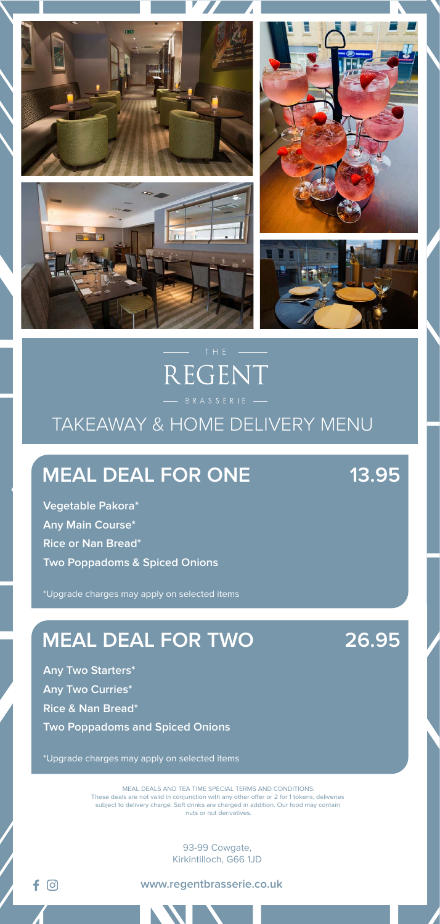

# REGENT

## TAKEAWAY & HOME DELIVERY MENU

93-99 Cowgate, Kirkintilloch, G66 1JD

**www.regentbrasserie.co.uk**

## **MEAL DEAL FOR ONE 13.95**

**Vegetable Pakora\* Any Main Course\* Rice or Nan Bread\* Two Poppadoms & Spiced Onions**

\*Upgrade charges may apply on selected items

## **MEAL DEAL FOR TWO 26.95**

**Any Two Starters\* Any Two Curries\* Rice & Nan Bread\* Two Poppadoms and Spiced Onions**

(O)

\*Upgrade charges may apply on selected items

MEAL DEALS AND TEA TIME SPECIAL TERMS AND CONDITIONS: These deals are not valid in conjunction with any other offer or 2 for 1 tokens, deliveries subject to delivery charge. Soft drinks are charged in addition. Our food may contain nuts or nut derivatives.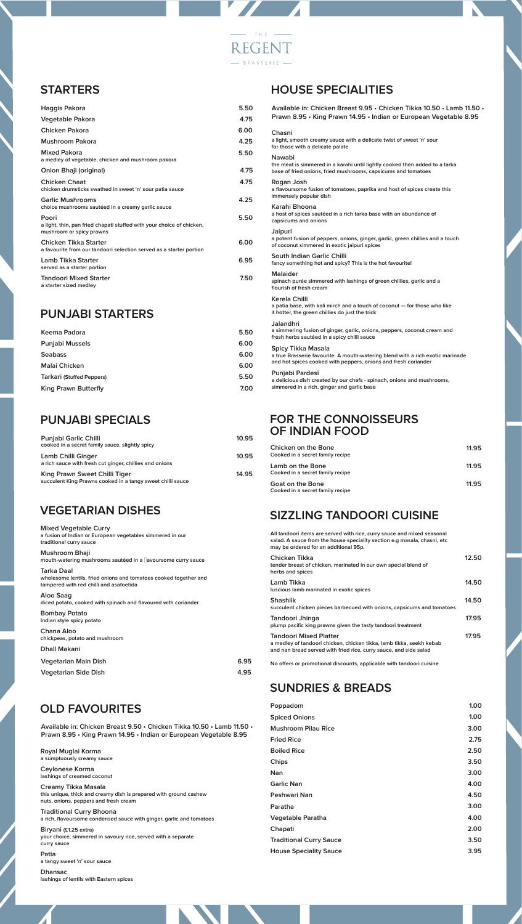#### **STARTERS**

| Haggis Pakora                                                                                              | 5.50 |
|------------------------------------------------------------------------------------------------------------|------|
| Vegetable Pakora                                                                                           | 4.75 |
| Chicken Pakora                                                                                             | 6.00 |
| Mushroom Pakora                                                                                            | 4.25 |
| Mixed Pakora<br>a medley of vegetable, chicken and mushroom pakora                                         | 5.50 |
| Onion Bhaji (original)                                                                                     | 4.75 |
| Chicken Chaat<br>chicken drumsticks swathed in sweet 'n' sour patia sauce                                  | 4.75 |
| <b>Garlic Mushrooms</b><br>choice mushrooms sautéed in a creamy garlic sauce                               | 4.25 |
| Poori<br>a light, thin, pan fried chapati stuffed with your choice of chicken,<br>mushroom or spicy prawns | 5.50 |
| Chicken Tikka Starter<br>a favourite from our tandoori selection served as a starter portion               | 6.00 |
| Lamb Tikka Starter<br>served as a starter portion                                                          | 6.95 |
| <b>Tandoori Mixed Starter</b><br>a starter sized medley                                                    | 7.50 |

#### **PUNJABI STARTERS**

| 5.50 |
|------|
| 6.00 |
| 6.00 |
| 6.00 |
| 5.50 |
| 7.00 |
|      |

#### **PUNJABI SPECIALS**

| <b>Punjabi Garlic Chilli</b><br>cooked in a secret family sauce, slightly spicy             | 10.95 |
|---------------------------------------------------------------------------------------------|-------|
| Lamb Chilli Ginger<br>a rich sauce with fresh cut ginger, chillies and onions               | 10.95 |
| King Prawn Sweet Chilli Tiger<br>succulent King Prawns cooked in a tangy sweet chilli sauce | 14.95 |

#### **VEGETARIAN DISHES**

| <b>Mixed Vegetable Curry</b><br>a fusion of Indian or European vegetables simmered in our<br>traditional curry sauce      |      |
|---------------------------------------------------------------------------------------------------------------------------|------|
| Mushroom Bhaji<br>mouth-watering mushrooms sautéed in a avoursome curry sauce                                             |      |
| Tarka Daal<br>wholesome lentils, fried onions and tomatoes cooked together and<br>tampered with red chilli and asafoetida |      |
| Aloo Saag<br>diced potato, cooked with spinach and flavoured with coriander                                               |      |
| <b>Bombay Potato</b><br>Indian style spicy potato                                                                         |      |
| Chana Aloo<br>chickpeas, potato and mushroom                                                                              |      |
| <b>Dhall Makani</b>                                                                                                       |      |
| Vegetarian Main Dish                                                                                                      | 6.95 |
| <b>Vegetarian Side Dish</b>                                                                                               | 4.95 |

#### **OLD FAVOURITES**

**Available in: Chicken Breast 9.50 • Chicken Tikka 10.50 • Lamb 11.50 • Prawn 8.95 • King Prawn 14.95 • Indian or European Vegetable 8.95**

**Royal Muglai Korma a sumptuously creamy sauce Ceylonese Korma**

**lashings of creamed coconut Creamy Tikka Masala**

**this unique, thick and creamy dish is prepared with ground cashew nuts, onions, peppers and fresh cream Traditional Curry Bhoona**

**a rich, flavoursome condensed sauce with ginger, garlic and tomatoes**

**Biryani (£1.25 extra) your choice, simmered in savoury rice, served with a separate curry sauce**

**Patia a tangy sweet 'n' sour sauce**

**Dhansac lashings of lentils with Eastern spices**

#### **HOUSE SPECIALITIES**

| Available in: Chicken Breast 9.95 · Chicken Tikka 10.50 · Lamb 11.50 ·<br>Prawn 8.95 • King Prawn 14.95 • Indian or European Vegetable 8.95                            |  |  |
|------------------------------------------------------------------------------------------------------------------------------------------------------------------------|--|--|
| Chasni<br>a light, smooth creamy sauce with a delicate twist of sweet 'n' sour<br>for those with a delicate palate                                                     |  |  |
| Nawabi<br>the meat is simmered in a karahi until lightly cooked then added to a tarka<br>base of fried onions, fried mushrooms, capsicums and tomatoes                 |  |  |
| Rogan Josh<br>a flavoursome fusion of tomatoes, paprika and host of spices create this<br>immensely popular dish                                                       |  |  |
| Karahi Bhoona<br>a host of spices sautéed in a rich tarka base with an abundance of<br>capsicums and onions                                                            |  |  |
| Jaipuri<br>a potent fusion of peppers, onions, ginger, garlic, green chillies and a touch<br>of coconut simmered in exotic jaipuri spices                              |  |  |
| South Indian Garlic Chilli<br>fancy something hot and spicy? This is the hot favourite!                                                                                |  |  |
| Malaider<br>spinach purée simmered with lashings of green chillies, garlic and a<br>flourish of fresh cream                                                            |  |  |
| Kerela Chilli<br>a patia base, with kali mirch and a touch of coconut - for those who like<br>it hotter, the green chillies do just the trick                          |  |  |
| Jalandhri<br>a simmering fusion of ginger, garlic, onions, peppers, coconut cream and<br>fresh herbs sautéed in a spicy chilli sauce                                   |  |  |
| Spicy Tikka Masala<br>a true Brasserie favourite. A mouth-watering blend with a rich exotic marinade<br>and hot spices cooked with peppers, onions and fresh coriander |  |  |
| Punjabi Pardesi<br>a delicious dish created by our chefs - spinach, onions and mushrooms,<br>simmered in a rich, ginger and garlic base                                |  |  |

#### **FOR THE CONNOISSEURS OF INDIAN FOOD**

| Chicken on the Bone<br>Cooked in a secret family recipe | 11.95 |
|---------------------------------------------------------|-------|
| Lamb on the Bone<br>Cooked in a secret family recipe    | 11.95 |
| Goat on the Bone<br>Cooked in a secret family recipe    | 11.95 |

#### **SIZZLING TANDOORI CUISINE**

| All tandoori items are served with rice, curry sauce and mixed seasonal<br>salad. A sauce from the house speciality section e.g masala, chasni, etc<br>may be ordered for an additional 95p. |       |
|----------------------------------------------------------------------------------------------------------------------------------------------------------------------------------------------|-------|
| Chicken Tikka<br>tender breast of chicken, marinated in our own special blend of<br>herbs and spices                                                                                         | 12.50 |
| Lamb Tikka<br>luscious lamb marinated in exotic spices                                                                                                                                       | 14.50 |
| <b>Shashlik</b><br>succulent chicken pieces barbecued with onions, capsicums and tomatoes                                                                                                    | 14.50 |
| Tandoori Jhinga<br>plump pacific king prawns given the tasty tandoori treatment                                                                                                              | 17.95 |
| Tandoori Mixed Platter<br>a medley of tandoori chicken, chicken tikka, lamb tikka, seekh kebab<br>and nan bread served with fried rice, curry sauce, and side salad                          | 17.95 |

No offers or promotional discounts, applicable with tandoori cuisine

#### **SUNDRIES & BREADS**

| 1.00 |
|------|
| 3.00 |
| 2.75 |
| 2.50 |
| 3.50 |
| 3.00 |
| 4.00 |
| 4.50 |
| 3.00 |
| 4.00 |
| 2.00 |
| 3.50 |
| 3.95 |
|      |